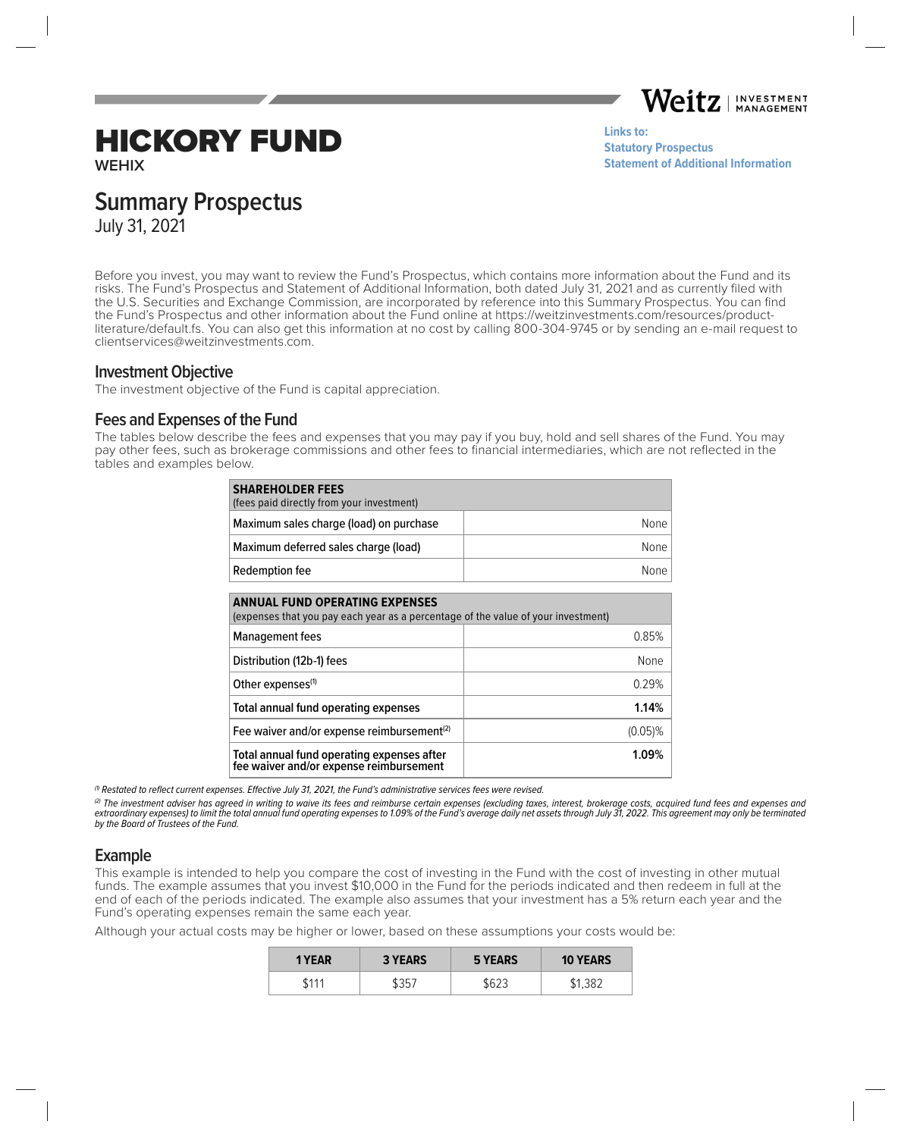

# HICKORY FUND

**WEHIX**

**Links to: [Statutory Prospectus](https://weitzinvestments.com/sitefiles/live/documents/funds/prospectuses/WeitzFundsProspectus.pdf) [Statement of Additional Information](https://weitzinvestments.com/sitefiles/live/documents/funds/sai/WeitzSAI.pdf)**

# **Summary Prospectus**

July 31, 2021

Before you invest, you may want to review the Fund's Prospectus, which contains more information about the Fund and its risks. The Fund's Prospectus and Statement of Additional Information, both dated July 31, 2021 and as currently filed with the U.S. Securities and Exchange Commission, are incorporated by reference into this Summary Prospectus. You can find the Fund's Prospectus and other information about the Fund online at https://weitzinvestments.com/resources/productliterature/default.fs. You can also get this information at no cost by calling 800-304-9745 or by sending an e-mail request to clientservices@weitzinvestments.com.

#### **Investment Objective**

The investment objective of the Fund is capital appreciation.

### **Fees and Expenses of the Fund**

The tables below describe the fees and expenses that you may pay if you buy, hold and sell shares of the Fund. You may pay other fees, such as brokerage commissions and other fees to financial intermediaries, which are not reflected in the tables and examples below.

| <b>SHAREHOLDER FEES</b><br>(fees paid directly from your investment) |      |
|----------------------------------------------------------------------|------|
| Maximum sales charge (load) on purchase                              | None |
| Maximum deferred sales charge (load)                                 | None |
| Redemption fee                                                       | None |

| <b>ANNUAL FUND OPERATING EXPENSES</b><br>(expenses that you pay each year as a percentage of the value of your investment) |            |  |  |
|----------------------------------------------------------------------------------------------------------------------------|------------|--|--|
| Management fees                                                                                                            | 0.85%      |  |  |
| Distribution (12b-1) fees                                                                                                  | None       |  |  |
| Other expenses <sup>(1)</sup>                                                                                              | 0.29%      |  |  |
| Total annual fund operating expenses                                                                                       | 1.14%      |  |  |
| Fee waiver and/or expense reimbursement <sup>(2)</sup>                                                                     | $(0.05)\%$ |  |  |
| Total annual fund operating expenses after<br>fee waiver and/or expense reimbursement                                      | 1.09%      |  |  |

 $<sup>(1)</sup>$  Restated to reflect current expenses. Effective July 31, 2021, the Fund's administrative services fees were revised.</sup>

(2) The investment adviser has agreed in writing to waive its fees and reimburse certain expenses (excluding taxes, interest, brokerage costs, acquired fund fees and expenses and extraordinary expenses) to limit the total annual fund operating expenses to 1.09% of the Fund's average daily net assets through July 31, 2022. This agreement may only be terminated by the Board of Trustees of the Fund.

### **Example**

This example is intended to help you compare the cost of investing in the Fund with the cost of investing in other mutual funds. The example assumes that you invest \$10,000 in the Fund for the periods indicated and then redeem in full at the end of each of the periods indicated. The example also assumes that your investment has a 5% return each year and the Fund's operating expenses remain the same each year.

Although your actual costs may be higher or lower, based on these assumptions your costs would be:

| 1 YEAR | <b>3 YEARS</b> | <b>5 YEARS</b> | <b>10 YEARS</b> |
|--------|----------------|----------------|-----------------|
| .111   | コロー            |                | -381            |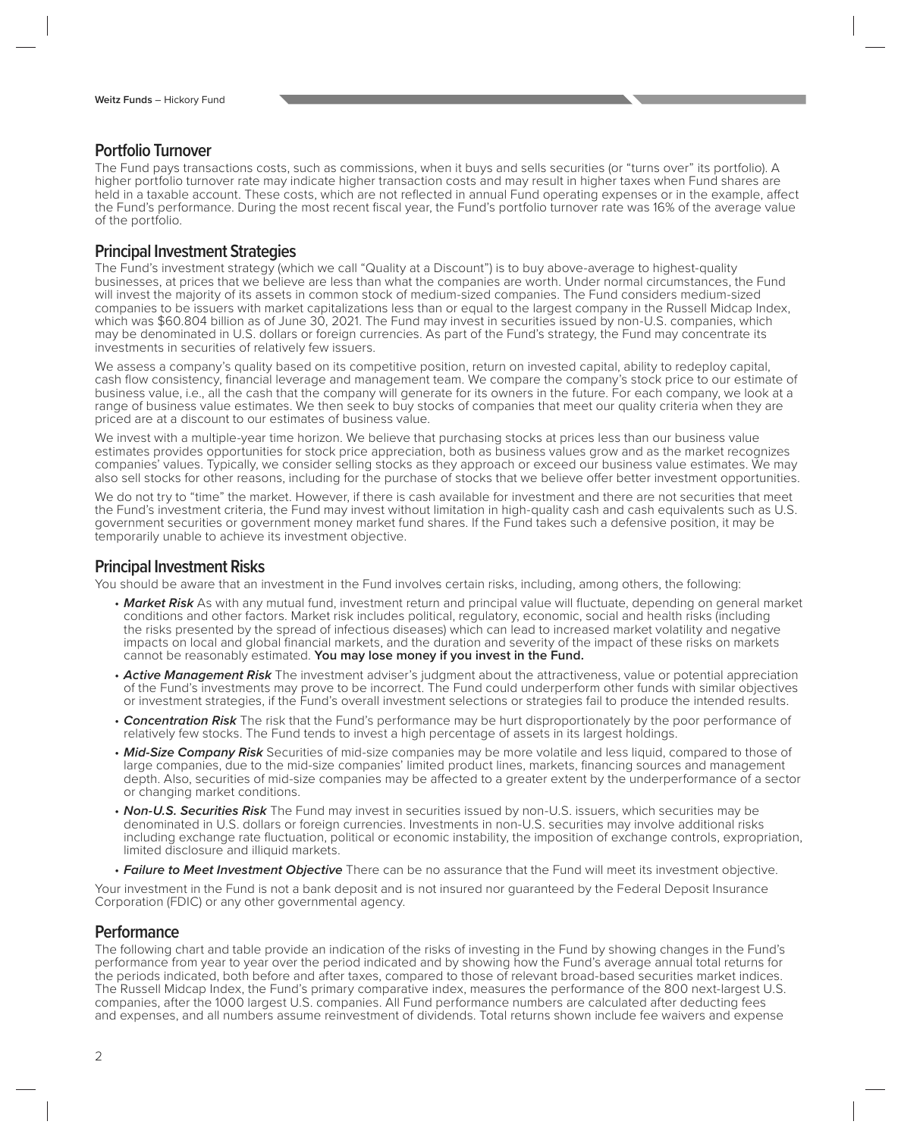## **Portfolio Turnover**

The Fund pays transactions costs, such as commissions, when it buys and sells securities (or "turns over" its portfolio). A higher portfolio turnover rate may indicate higher transaction costs and may result in higher taxes when Fund shares are held in a taxable account. These costs, which are not reflected in annual Fund operating expenses or in the example, affect the Fund's performance. During the most recent fiscal year, the Fund's portfolio turnover rate was 16% of the average value of the portfolio.

#### **Principal Investment Strategies**

The Fund's investment strategy (which we call "Quality at a Discount") is to buy above-average to highest-quality businesses, at prices that we believe are less than what the companies are worth. Under normal circumstances, the Fund will invest the majority of its assets in common stock of medium-sized companies. The Fund considers medium-sized companies to be issuers with market capitalizations less than or equal to the largest company in the Russell Midcap Index, which was \$60.804 billion as of June 30, 2021. The Fund may invest in securities issued by non-U.S. companies, which may be denominated in U.S. dollars or foreign currencies. As part of the Fund's strategy, the Fund may concentrate its investments in securities of relatively few issuers.

We assess a company's quality based on its competitive position, return on invested capital, ability to redeploy capital, cash flow consistency, financial leverage and management team. We compare the company's stock price to our estimate of business value, i.e., all the cash that the company will generate for its owners in the future. For each company, we look at a range of business value estimates. We then seek to buy stocks of companies that meet our quality criteria when they are priced are at a discount to our estimates of business value.

We invest with a multiple-year time horizon. We believe that purchasing stocks at prices less than our business value estimates provides opportunities for stock price appreciation, both as business values grow and as the market recognizes companies' values. Typically, we consider selling stocks as they approach or exceed our business value estimates. We may also sell stocks for other reasons, including for the purchase of stocks that we believe offer better investment opportunities.

We do not try to "time" the market. However, if there is cash available for investment and there are not securities that meet the Fund's investment criteria, the Fund may invest without limitation in high-quality cash and cash equivalents such as U.S. government securities or government money market fund shares. If the Fund takes such a defensive position, it may be temporarily unable to achieve its investment objective.

#### **Principal Investment Risks**

You should be aware that an investment in the Fund involves certain risks, including, among others, the following:

- Market Risk As with any mutual fund, investment return and principal value will fluctuate, depending on general market conditions and other factors. Market risk includes political, regulatory, economic, social and health risks (including the risks presented by the spread of infectious diseases) which can lead to increased market volatility and negative impacts on local and global financial markets, and the duration and severity of the impact of these risks on markets cannot be reasonably estimated. **You may lose money if you invest in the Fund.**
- **Active Management Risk** The investment adviser's judgment about the attractiveness, value or potential appreciation of the Fund's investments may prove to be incorrect. The Fund could underperform other funds with similar objectives or investment strategies, if the Fund's overall investment selections or strategies fail to produce the intended results.
- **Concentration Risk** The risk that the Fund's performance may be hurt disproportionately by the poor performance of relatively few stocks. The Fund tends to invest a high percentage of assets in its largest holdings.
- **Mid-Size Company Risk** Securities of mid-size companies may be more volatile and less liquid, compared to those of large companies, due to the mid-size companies' limited product lines, markets, financing sources and management depth. Also, securities of mid-size companies may be affected to a greater extent by the underperformance of a sector or changing market conditions.
- **Non-U.S. Securities Risk** The Fund may invest in securities issued by non-U.S. issuers, which securities may be denominated in U.S. dollars or foreign currencies. Investments in non-U.S. securities may involve additional risks including exchange rate fluctuation, political or economic instability, the imposition of exchange controls, expropriation, limited disclosure and illiquid markets.
- **Failure to Meet Investment Objective** There can be no assurance that the Fund will meet its investment objective.

Your investment in the Fund is not a bank deposit and is not insured nor guaranteed by the Federal Deposit Insurance Corporation (FDIC) or any other governmental agency.

#### **Performance**

The following chart and table provide an indication of the risks of investing in the Fund by showing changes in the Fund's performance from year to year over the period indicated and by showing how the Fund's average annual total returns for the periods indicated, both before and after taxes, compared to those of relevant broad-based securities market indices. The Russell Midcap Index, the Fund's primary comparative index, measures the performance of the 800 next-largest U.S. companies, after the 1000 largest U.S. companies. All Fund performance numbers are calculated after deducting fees and expenses, and all numbers assume reinvestment of dividends. Total returns shown include fee waivers and expense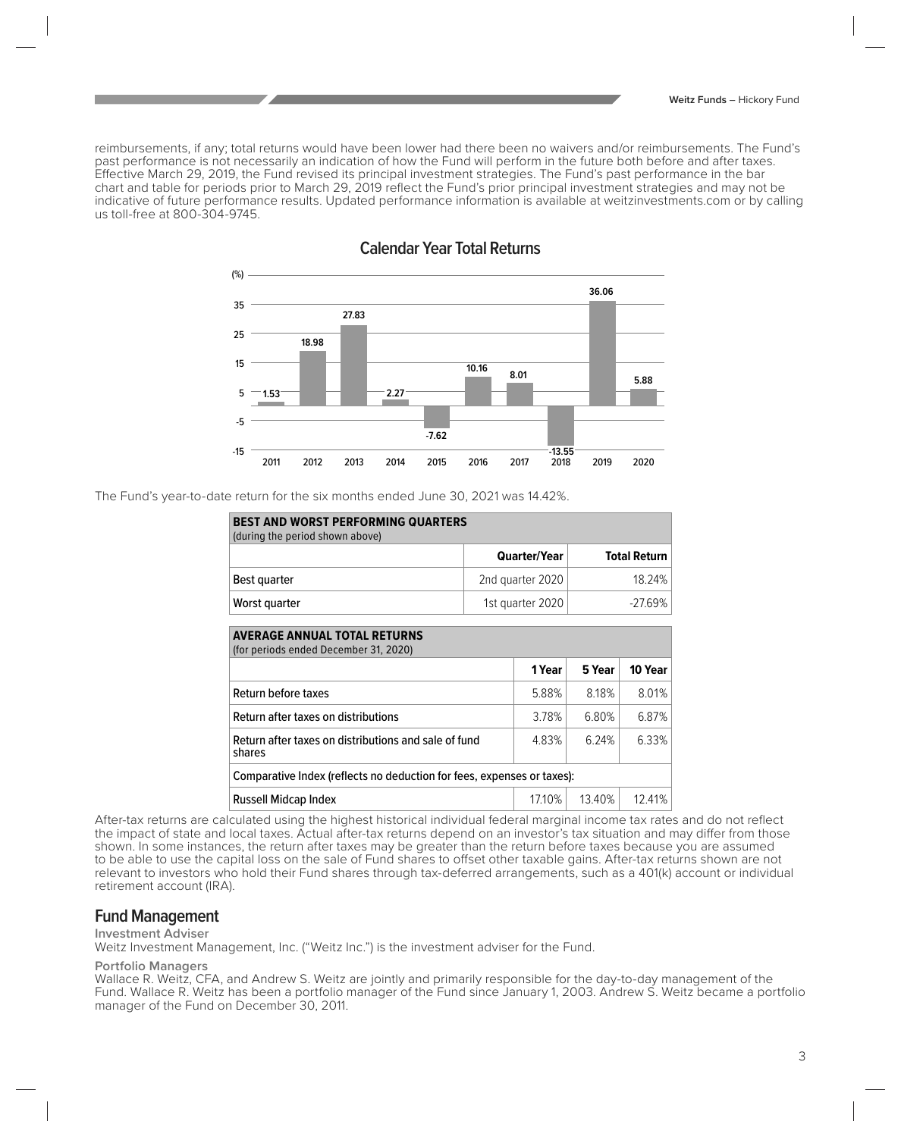reimbursements, if any; total returns would have been lower had there been no waivers and/or reimbursements. The Fund's past performance is not necessarily an indication of how the Fund will perform in the future both before and after taxes. Effective March 29, 2019, the Fund revised its principal investment strategies. The Fund's past performance in the bar chart and table for periods prior to March 29, 2019 reflect the Fund's prior principal investment strategies and may not be indicative of future performance results. Updated performance information is available at weitzinvestments.com or by calling us toll-free at 800-304-9745.



### **Calendar Year Total Returns**

The Fund's year-to-date return for the six months ended June 30, 2021 was 14.42%.

| <b>BEST AND WORST PERFORMING QUARTERS</b><br>(during the period shown above) |                     |                     |  |  |
|------------------------------------------------------------------------------|---------------------|---------------------|--|--|
|                                                                              | <b>Quarter/Year</b> | <b>Total Return</b> |  |  |
| Best quarter                                                                 | 2nd quarter 2020    | 18.24%              |  |  |
| Worst quarter                                                                | 1st quarter 2020    | -27.69%             |  |  |

| <b>AVERAGE ANNUAL TOTAL RETURNS</b><br>(for periods ended December 31, 2020) |        |        |         |  |  |
|------------------------------------------------------------------------------|--------|--------|---------|--|--|
|                                                                              | 1 Year | 5 Year | 10 Year |  |  |
| Return before taxes                                                          | 5.88%  | 8.18%  | 8.01%   |  |  |
| Return after taxes on distributions                                          | 3.78%  | 6.80%  | 6.87%   |  |  |
| Return after taxes on distributions and sale of fund<br>shares               | 4.83%  | 6.24%  | 6.33%   |  |  |
| Comparative Index (reflects no deduction for fees, expenses or taxes):       |        |        |         |  |  |
| <b>Russell Midcap Index</b>                                                  | 1710%  | 13.40% | 12.41%  |  |  |

After-tax returns are calculated using the highest historical individual federal marginal income tax rates and do not reflect the impact of state and local taxes. Actual after-tax returns depend on an investor's tax situation and may differ from those shown. In some instances, the return after taxes may be greater than the return before taxes because you are assumed to be able to use the capital loss on the sale of Fund shares to offset other taxable gains. After-tax returns shown are not relevant to investors who hold their Fund shares through tax-deferred arrangements, such as a 401(k) account or individual retirement account (IRA).

#### **Fund Management**

#### **Investment Adviser**

Weitz Investment Management, Inc. ("Weitz Inc.") is the investment adviser for the Fund.

#### **Portfolio Managers**

Wallace R. Weitz, CFA, and Andrew S. Weitz are jointly and primarily responsible for the day-to-day management of the Fund. Wallace R. Weitz has been a portfolio manager of the Fund since January 1, 2003. Andrew S. Weitz became a portfolio manager of the Fund on December 30, 2011.